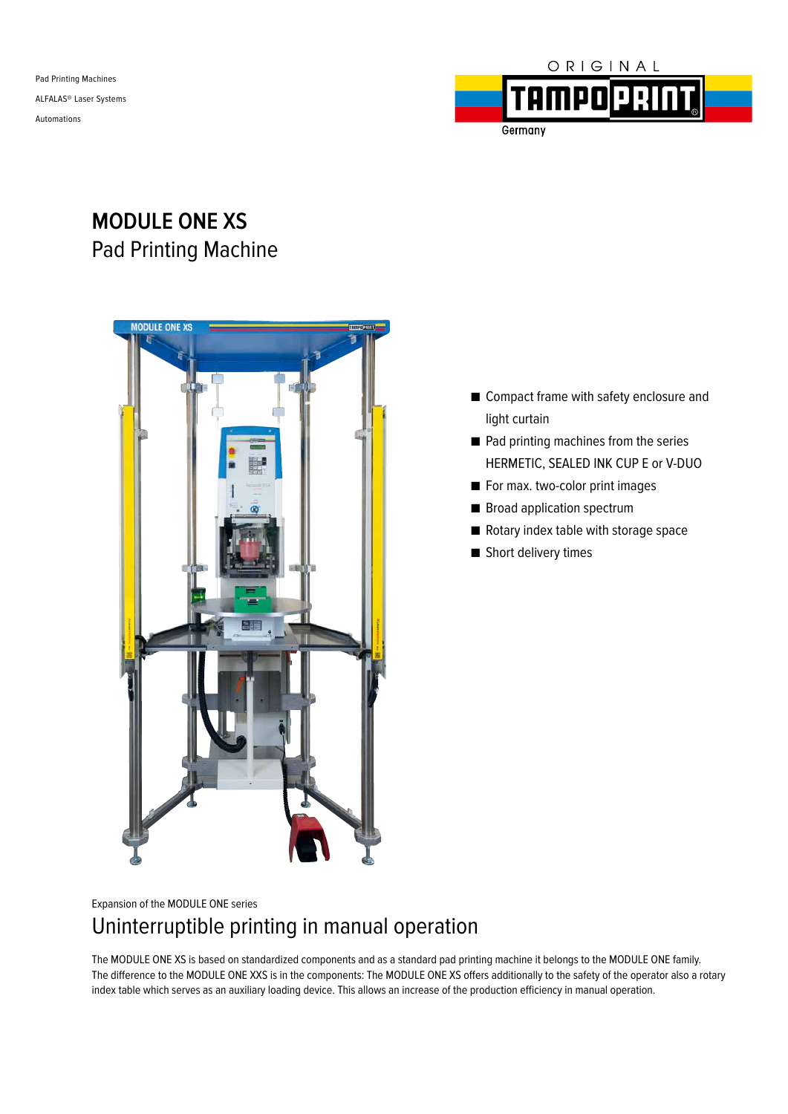Pad Printing Machines ALFALAS® Laser Systems Automations



Germany

# **MODULE ONE XS** Pad Printing Machine



- Compact frame with safety enclosure and light curtain
- Pad printing machines from the series HERMETIC, SEALED INK CUP E or V-DUO
- For max. two-color print images
- Broad application spectrum
- Rotary index table with storage space
- Short delivery times

### Expansion of the MODULE ONE series Uninterruptible printing in manual operation

The MODULE ONE XS is based on standardized components and as a standard pad printing machine it belongs to the MODULE ONE family. The difference to the MODULE ONE XXS is in the components: The MODULE ONE XS offers additionally to the safety of the operator also a rotary index table which serves as an auxiliary loading device. This allows an increase of the production efficiency in manual operation.